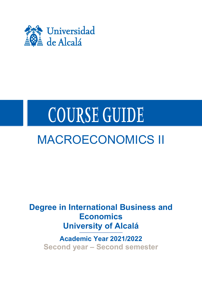

# **COURSE GUIDE**

## MACROECONOMICS II

**Degree in International Business and Economics University of Alcalá**

**Academic Year 2021/2022 Second year – Second semester**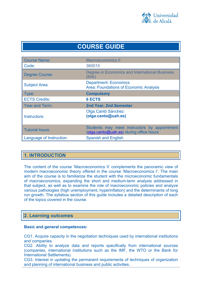

## **COURSE GUIDE**

| <b>Course Name:</b>      | <b>Macroeconomics II</b>                                                                |
|--------------------------|-----------------------------------------------------------------------------------------|
| Code:                    | 360015                                                                                  |
| <b>Degree Course:</b>    | Degree in Economics and International Business<br>(ENI)                                 |
| <b>Subject Area:</b>     | <b>Department: Economics</b><br><b>Area: Foundations of Economic Analysis</b>           |
| Type:                    | <b>Compulsory</b>                                                                       |
| <b>ECTS Credits:</b>     | <b>6 ECTS</b>                                                                           |
| <b>Year and Term:</b>    | <b>2nd Year, 2nd Semester</b>                                                           |
| Instructors:             | Olga Cantó Sánchez<br>(olga.canto@uah.es)                                               |
| <b>Tutorial hours:</b>   | Students may meet instructors by appointment<br>(olga.canto@uah.es) during office hours |
| Language of Instruction: | <b>Spanish and English</b>                                                              |

## **1. INTRODUCTION**

The content of the course 'Macroeconomics II' complements the panoramic view of modern macroeconomic theory offered in the course 'Macroeconomics I'. The main aim of the course is to familiarize the student with the microeconomic fundamentals of macroeconomics, expanding the short and medium-term analysis addressed in that subject, as well as to examine the role of macroeconomic policies and analyze various pathologies (high unemployment, hyperinflation) and the determinants of long run growth. The syllabus section of this guide includes a detailed description of each of the topics covered in the course.

## **2. Learning outcomes**

## **Basic and general competences:**

CG1. Acquire capacity in the negotiation techniques used by international institutions and companies.

CG2. Ability to analyze data and reports specifically from international sources (companies, international institutions such as the IMF, the WTO or the Bank for International Settlements).

CG3. Interest in updating the permanent requirements of techniques of organization and planning of international business and public activities.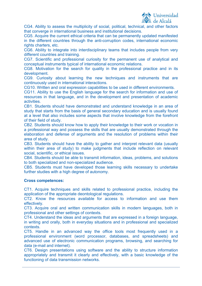

CG4. Ability to assess the multiplicity of social, political, technical, and other factors that converge in international business and institutional decisions.

CG5. Acquire the current ethical criteria that can be permanently updated manifested in the different countries through the anti-corruption codes, international economic rights charters, etc.

CG6. Ability to integrate into interdisciplinary teams that includes people from very different countries and training.

CG7. Scientific and professional curiosity for the permanent use of analytical and conceptual instruments typical of international economic relations.

CG8. Motivation for the search for quality in the professional practice and in its development.

CG9. Curiosity about learning the new techniques and instruments that are continuously used in international interactions.

CG10. Written and oral expression capabilities to be used in different environments.

CG11. Ability to use the English language for the search for information and use of resources in that language, and in the development and presentation of academic activities.

CB1. Students should have demonstrated and understand knowledge in an area of study that starts from the basis of general secondary education and is usually found at a level that also includes some aspects that involve knowledge from the forefront of their field of study.

CB2. Students should know how to apply their knowledge to their work or vocation in a professional way and possess the skills that are usually demonstrated through the elaboration and defense of arguments and the resolution of problems within their area of study.

CB3. Students should have the ability to gather and interpret relevant data (usually within their area of study) to make judgments that include reflection on relevant social, scientific, or ethical issues.

CB4. Students should be able to transmit information, ideas, problems, and solutions to both specialized and non-specialized audience.

CB5. Students must have developed those learning skills necessary to undertake further studies with a high degree of autonomy.

## **Cross competences:**

CT1. Acquire techniques and skills related to professional practice, including the application of the appropriate deontological regulations.

CT2. Know the resources available for access to information and use them effectively.

CT3. Acquire oral and written communication skills in modern languages, both in professional and other settings of contexts.

CT4. Understand the ideas and arguments that are expressed in a foreign language, in writing and orally, both in everyday situations and in professional and specialized contexts.

CT5. Handle in an advanced way the office tools most frequently used in a professional environment (word processor, databases, and spreadsheets) and advanced use of electronic communication programs, browsing, and searching for data (e-mail and internet).

CT6. Design presentations using software and the ability to structure information appropriately and transmit it clearly and effectively, with a basic knowledge of the functioning of data transmission networks.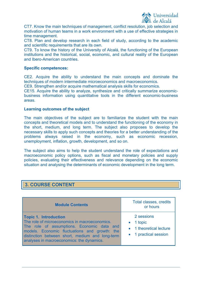

CT7. Know the main techniques of management, conflict resolution, job selection and motivation of human teams in a work environment with a use of effective strategies in time management.

CT8. Plan and develop research in each field of study, according to the academic and scientific requirements that are its own.

CT9. To know the history of the University of Alcalá, the functioning of the European institutions and the historical, social, economic, and cultural reality of the European and Ibero-American countries.

## **Specific competences:**

CE2. Acquire the ability to understand the main concepts and dominate the techniques of modern intermediate microeconomics and macroeconomics.

CE9. Strengthen and/or acquire mathematical analysis skills for economics.

CE15. Acquire the ability to analyze, synthesize and critically summarize economicbusiness information using quantitative tools in the different economic-business areas.

#### **Learning outcomes of the subject**

The main objectives of the subject are to familiarize the student with the main concepts and theoretical models and to understand the functioning of the economy in the short, medium, and long term. The subject also proposes to develop the necessary skills to apply such concepts and theories for a better understanding of the problems always raised in the economy, such as economic recession, unemployment, inflation, growth, development, and so on.

The subject also aims to help the student understand the role of expectations and macroeconomic policy options, such as fiscal and monetary policies and supply policies, evaluating their effectiveness and relevance depending on the economic situation and analysing the determinants of economic development in the long term.

## **3. COURSE CONTENT**

| <b>Module Contents</b>                                                                                                                                                                                                                                                       | <b>Total classes, credits</b><br>or hours                                           |
|------------------------------------------------------------------------------------------------------------------------------------------------------------------------------------------------------------------------------------------------------------------------------|-------------------------------------------------------------------------------------|
| <b>Topic 1. Introduction</b><br>The role of microeconomics in macroeconomics.<br>The role of assumptions. Economic data and<br>models. Economic fluctuations and growth: the<br>distinction between short, medium and long-term<br>analyses in macroeconomics: the dynamics. | 2 sessions<br>$\bullet$ 1 topic<br>• 1 theoretical lecture<br>• 1 practical session |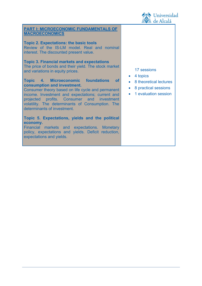

## **PART I: MICROECONOMIC FUNDAMENTALS OF MACROECONOMICS Topic 2. Expectations: the basic tools** Review of the IS-LM model. Real and nominal interest. The discounted present value. **Topic 3. Financial markets and expectations** The price of bonds and their yield. The stock market and variations in equity prices. **Topic 4. Microeconomic foundations of consumption and investment.** Consumer theory based on life cycle and permanent income. Investment and expectations; current and projected profits. Consumer and investment volatility. The determinants of Consumption. The determinants of investment. **Topic 5. Expectations, yields and the political economy.** 17 sessions • 4 topics • 8 practical sessions • 1 evaluation session

Financial markets and expectations. Monetary policy, expectations and yields. Deficit reduction, expectations and yields.

- 8 theoretical lectures
- 
-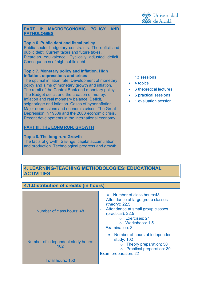

| PART II: MACROECONOMIC POLICY AND<br><b>PATHOLOGIES</b>                                                                                                                                                                                                                                                                                                                                                                                                                                                                                                                                                                    |                                                                                                                                         |
|----------------------------------------------------------------------------------------------------------------------------------------------------------------------------------------------------------------------------------------------------------------------------------------------------------------------------------------------------------------------------------------------------------------------------------------------------------------------------------------------------------------------------------------------------------------------------------------------------------------------------|-----------------------------------------------------------------------------------------------------------------------------------------|
| <b>Topic 6. Public debt and fiscal policy</b><br>Public sector budgetary constraints. The deficit and<br>public debt. Current taxes and future taxes.<br>Ricardian equivalence. Cyclically adjusted deficit.<br>Consequences of high public debt.                                                                                                                                                                                                                                                                                                                                                                          |                                                                                                                                         |
| <b>Topic 7. Monetary policy and inflation. High</b><br>inflation, depressions and crises<br>The optimal inflation rate. Development of monetary<br>policy and aims of monetary growth and inflation.<br>The remit of the Central Bank and monetary policy.<br>The Budget deficit and the creation of money.<br>Inflation and real monetary balance. Deficit,<br>seignoriage and inflation. Cases of hyperinflation.<br>Major depressions and economic crises: The Great<br>Depression in 1930s and the 2008 economic crisis.<br>Recent developments in the international economy.<br><b>PART III: THE LONG RUN: GROWTH</b> | 13 sessions<br>4 topics<br>$\bullet$<br>6 theoretical led<br>$\bullet$<br>6 practical sess<br>$\bullet$<br>1 evaluation se<br>$\bullet$ |
| <b>Topic 8. The long run: Growth</b>                                                                                                                                                                                                                                                                                                                                                                                                                                                                                                                                                                                       |                                                                                                                                         |

The facts of growth. Savings, capital accumulation and production. Technological progress and growth.

- ctures
- sions
- **ssion**

## **4. LEARNING-TEACHING METHODOLOGIES: EDUCATIONAL ACTIVITIES**

## **4.1.Distribution of credits (in hours)**

| Number of class hours: 48                 | • Number of class hours:48<br>Attendance at large group classes<br>(theory): 22.5<br>Attendance at small group classes<br>$(praction)$ : 22.5<br>o Exercises: 21<br>o Workshops: 1.5<br>Examination: 3 |
|-------------------------------------------|--------------------------------------------------------------------------------------------------------------------------------------------------------------------------------------------------------|
| Number of independent study hours:<br>102 | • Number of hours of independent<br>study: 102<br>Theory preparation: 50<br>o Practical preparation: 30<br>Exam preparation: 22                                                                        |
| Total hours: 150                          |                                                                                                                                                                                                        |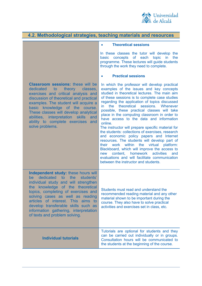

| 4.2. Methodological strategies, teaching materials and resources                                                                                                                                                                                                                                                                                                                              |                                                                                                                                                                                                                                                                                                                                                                                                                                                                                                                                                                                                                                                                                                                                                                                                                                                                                          |  |
|-----------------------------------------------------------------------------------------------------------------------------------------------------------------------------------------------------------------------------------------------------------------------------------------------------------------------------------------------------------------------------------------------|------------------------------------------------------------------------------------------------------------------------------------------------------------------------------------------------------------------------------------------------------------------------------------------------------------------------------------------------------------------------------------------------------------------------------------------------------------------------------------------------------------------------------------------------------------------------------------------------------------------------------------------------------------------------------------------------------------------------------------------------------------------------------------------------------------------------------------------------------------------------------------------|--|
|                                                                                                                                                                                                                                                                                                                                                                                               | <b>Theoretical sessions</b>                                                                                                                                                                                                                                                                                                                                                                                                                                                                                                                                                                                                                                                                                                                                                                                                                                                              |  |
|                                                                                                                                                                                                                                                                                                                                                                                               | In these classes the tutor will develop the<br>concepts<br>of<br>each topic<br>basic<br>in<br>the<br>programme. These lectures will guide students<br>through the work they need to complete.                                                                                                                                                                                                                                                                                                                                                                                                                                                                                                                                                                                                                                                                                            |  |
|                                                                                                                                                                                                                                                                                                                                                                                               | <b>Practical sessions</b>                                                                                                                                                                                                                                                                                                                                                                                                                                                                                                                                                                                                                                                                                                                                                                                                                                                                |  |
| <b>Classroom sessions: these will be</b><br>dedicated<br>theory<br>classes,<br>to<br>exercises and critical analysis and<br>discussion of theoretical and practical<br>examples. The student will acquire a<br>basic knowledge of the course.<br>These classes will develop analytical<br>abilities, interpretation skills<br>and<br>ability to complete exercises and<br>solve problems.     | In which the professor will develop practical<br>examples of the issues and key concepts<br>studied in theoretical lectures. The main aim<br>of these sessions is to complete case studies<br>regarding the application of topics discussed<br>the<br>theoretical sessions. Whenever<br>in<br>possible, these practical classes will take<br>place in the computing classroom in order to<br>have access to the data and information<br>online.<br>The instructor will prepare specific material for<br>the students: collections of exercises, research<br>and economic policy papers and Internet<br>resources. The students will develop part of<br>their work within the virtual platform:<br>Blackboard, which will improve the access to<br>content, homework<br>activities<br>new<br>and<br>evaluations and will facilitate communication<br>between the instructor and students. |  |
| Independent study: these hours will<br>dedicated<br>to the<br>students'<br>be l<br>individual study and will strengthen<br>the knowledge of the theoretical<br>topics, completing of exercises and<br>solving cases as well as reading<br>articles of interest. This aims to<br>develop transferable skills such as<br>information gathering, interpretation<br>of texts and problem solving. | Students must read and understand the<br>recommended reading material and any other<br>material shown to be important during the<br>course. They also have to solve practical<br>activities and exercises set in class, etc.                                                                                                                                                                                                                                                                                                                                                                                                                                                                                                                                                                                                                                                             |  |
| <b>Individual tutorials</b>                                                                                                                                                                                                                                                                                                                                                                   | Tutorials are optional for students and they<br>can be carried out individually or in groups.<br>Consultation hours will be communicated to<br>the students at the beginning of the course.                                                                                                                                                                                                                                                                                                                                                                                                                                                                                                                                                                                                                                                                                              |  |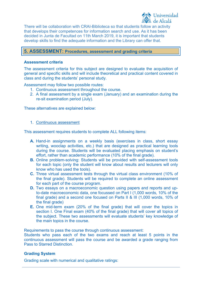

There will be collaboration with CRAI-Biblioteca so that students follow an activity that develops their competences for information search and use. As it has been decided in Junta de Facultad on 11th March 2019, it is important that students develop skills to find the adequate information and the Library can offer that.

## **5. ASSESSMENT: Procedures, assessment and grading criteria**

## **Assessment criteria**

The assessment criteria for this subject are designed to evaluate the acquisition of general and specific skills and will include theoretical and practical content covered in class and during the students' personal study.

Assessment may follow two possible routes:

- 1. Continuous assessment throughout the course.
- 2. A final assessment by a single exam (January) and an examination during the re-sit examination period (July).

These alternatives are explained below:

#### 1. Continuous assessment

This assessment requires students to complete ALL following items:

- **A.** Hand-in assignments on a weekly basis (exercises in class, short essay writing, wooclap activities, etc.) that are designed as practical learning tools during the course. Students will be evaluated placing emphasis on student's effort, rather than academic performance (10% of the final grade).
- **B.** Online problem-solving: Students will be provided with self-assessment tools for each topic (only the student will know about results and lecturers will only know who has used the tools).
- **C.** Three virtual assessment tests through the virtual class environment (10% of the final grade). Students will be required to complete an online assessment for each part of the course program.
- **D.** Two essays on a macroeconomic question using papers and reports and upto-date macroeconomic data, one focussed on Part I (1,000 words, 10% of the final grade) and a second one focused on Parts II & III (1,000 words, 10% of the final grade)
- **E.** One mid-term exam (20% of the final grade) that will cover the topics in section I. One Final exam (40% of the final grade) that will cover all topics of the subject. These two assessments will evaluate students' key knowledge of the main topics in the course.

Requirements to pass the course through continuous assessment:

Students who pass each of the two exams and reach at least 5 points in the continuous assessment will pass the course and be awarded a grade ranging from Pass to Starred Distinction.

## **Grading System**

Grading scale with numerical and qualitative ratings: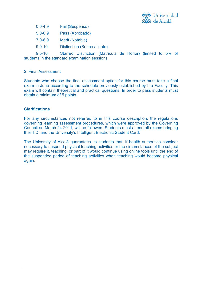

0.0-4.9 Fail (Suspenso)

5.0-6.9 Pass (Aprobado)

- 7.0-8.9 Merit (Notable)
- 9.0-10 Distinction (Sobresaliente)

9.5-10 Starred Distinction (Matrícula de Honor) (limited to 5% of students in the standard examination session)

## 2. Final Assessment

Students who choose the final assessment option for this course must take a final exam in June according to the schedule previously established by the Faculty. This exam will contain theoretical and practical questions. In order to pass students must obtain a minimum of 5 points.

## **Clarifications**

For any circumstances not referred to in this course description, the regulations governing learning assessment procedures, which were approved by the Governing Council on March 24 2011, will be followed. Students must attend all exams bringing their I.D. and the University's Intelligent Electronic Student Card.

The University of Alcalá guarantees its students that, if health authorities consider necessary to suspend physical teaching activities or the circumstances of the subject may require it, teaching, or part of it would continue using online tools until the end of the suspended period of teaching activities when teaching would become physical again.